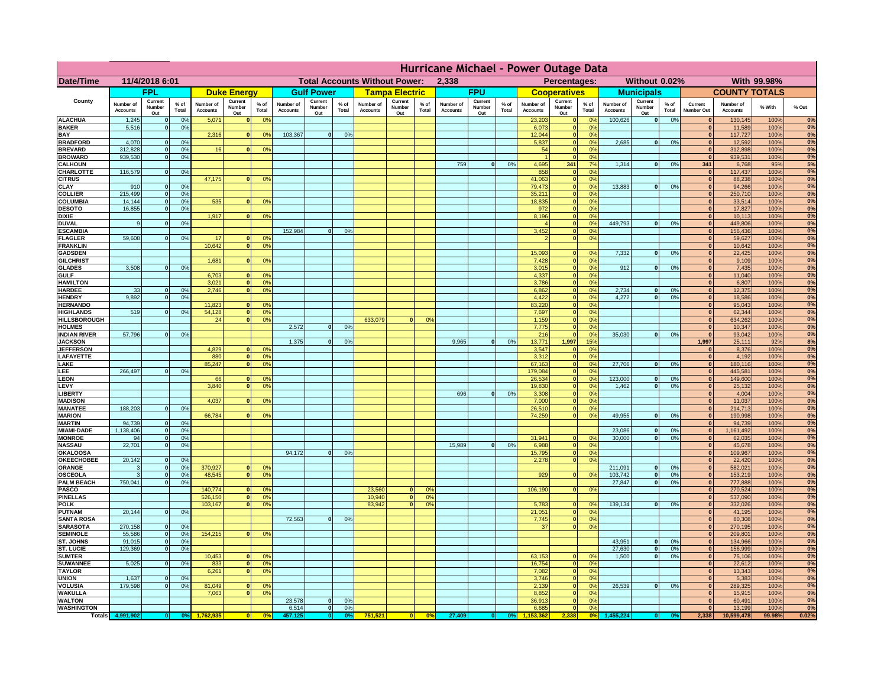|                                    | Hurricane Michael - Power Outage Data |                              |                                  |                              |                                               |                                  |                              |                          |                 |                              |                                              |                |                              |                          |                 |                              |                          |                                  |                              |                          |                 |                              |                              |              |          |
|------------------------------------|---------------------------------------|------------------------------|----------------------------------|------------------------------|-----------------------------------------------|----------------------------------|------------------------------|--------------------------|-----------------|------------------------------|----------------------------------------------|----------------|------------------------------|--------------------------|-----------------|------------------------------|--------------------------|----------------------------------|------------------------------|--------------------------|-----------------|------------------------------|------------------------------|--------------|----------|
| Date/Time                          | 11/4/2018 6:01                        |                              |                                  |                              | <b>Total Accounts Without Power:</b><br>2,338 |                                  |                              |                          |                 |                              | Percentages:<br>Without 0.02%<br>With 99.98% |                |                              |                          |                 |                              |                          |                                  |                              |                          |                 |                              |                              |              |          |
|                                    |                                       | <b>FPL</b>                   |                                  |                              | <b>Duke Energy</b>                            |                                  |                              | <b>Gulf Power</b>        |                 |                              | <b>Tampa Electric</b>                        |                |                              | <b>FPU</b>               |                 |                              | <b>Cooperatives</b>      |                                  |                              | <b>Municipals</b>        |                 |                              | <b>COUNTY TOTALS</b>         |              |          |
| County                             | Number of<br><b>Accounts</b>          | Current<br>Number<br>Out     | $%$ of<br>Total                  | Number of<br><b>Accounts</b> | Current<br>Number<br>Out                      | $%$ of<br>Total                  | Number of<br><b>Accounts</b> | Current<br>Number<br>Out | $%$ of<br>Total | Number of<br><b>Accounts</b> | Current<br>Number<br>Out                     | % of<br>Total  | Number of<br><b>Accounts</b> | Current<br>Number<br>Out | $%$ of<br>Total | Number of<br><b>Accounts</b> | Current<br>Number<br>Out | $%$ of<br>Total                  | Number of<br><b>Accounts</b> | Current<br>Number<br>Out | $%$ of<br>Total | Current<br>Number Out        | Number of<br><b>Accounts</b> | % With       | % Out    |
| <b>ALACHUA</b>                     | 1,245                                 | $\Omega$                     | 0%                               | 5,071                        | 0                                             | 0 <sup>9</sup>                   |                              |                          |                 |                              |                                              |                |                              |                          |                 | 23,203                       | 0                        | 0%                               | 100,626                      | 0                        | 0%              | 0                            | 130,145                      | 100%         | 0%       |
| <b>BAKER</b><br>BAY                | 5,516                                 | 0                            | 0%                               | 2,316                        | 0                                             | 0 <sup>9</sup>                   | 103,367                      | 0                        | 0%              |                              |                                              |                |                              |                          |                 | 6,073<br>12,044              | 0 <br> 0                 | 0%<br>0%                         |                              |                          |                 | 0 <br>$\overline{0}$         | 11,589<br>117,727            | 100%<br>100% | 0%<br>0% |
| <b>BRADFORD</b>                    | 4,070                                 | $\mathbf{o}$                 | 0%                               |                              |                                               |                                  |                              |                          |                 |                              |                                              |                |                              |                          |                 | 5,837                        | 0                        | 0%                               | 2,685                        | 0                        | 0%              | 0                            | 12,592                       | 100%         | 0%       |
| <b>BREVARD</b>                     | 312,828                               | 0                            | 0%                               | 16                           | 0                                             | 0 <sup>9</sup>                   |                              |                          |                 |                              |                                              |                |                              |                          |                 | 54                           | 0                        | 0%                               |                              |                          |                 | $\Omega$                     | 312,898                      | 100%         | 0%       |
| <b>BROWARD</b>                     | 939,530                               | 0                            | 0 <sup>9</sup>                   |                              |                                               |                                  |                              |                          |                 |                              |                                              |                |                              |                          |                 |                              | $\mathbf{0}$             | 0 <sup>9</sup>                   |                              |                          |                 | $\mathbf{0}$                 | 939,531                      | 100%         | 0%       |
| <b>CALHOUN</b><br>CHARLOTTE        | 116,579                               | 0                            | 0%                               |                              |                                               |                                  |                              |                          |                 |                              |                                              |                | 759                          | 0                        | 0%              | 4,695<br>858                 | 341<br> 0                | 7 <sup>9</sup><br>0 <sup>9</sup> | 1,314                        | 0                        | 0%              | 341<br>$\mathbf{0}$          | 6,768<br>117,437             | 95%<br>100%  | 5%<br>0% |
| <b>CITRUS</b>                      |                                       |                              |                                  | 47,175                       |                                               | 0<br>0 <sup>9</sup>              |                              |                          |                 |                              |                                              |                |                              |                          |                 | 41,063                       | $\mathbf{0}$             | 0 <sup>9</sup>                   |                              |                          |                 | 0                            | 88,238                       | 100%         | 0%       |
| CLAY                               | 910                                   | $\bf{0}$                     | 0 <sup>9</sup>                   |                              |                                               |                                  |                              |                          |                 |                              |                                              |                |                              |                          |                 | 79,473                       | $\mathbf{0}$             | 0 <sup>9</sup>                   | 13,883                       | $\mathbf{0}$             | 0%              | 0                            | 94,266                       | 100%         | 0%       |
| <b>COLLIER</b><br><b>COLUMBIA</b>  | 215,499<br>14,144                     | $\mathbf{0}$<br>$\Omega$     | 0 <sup>9</sup><br>0 <sup>9</sup> | 535                          |                                               |                                  |                              |                          |                 |                              |                                              |                |                              |                          |                 | 35,211                       | 0 <br> 0                 | 0 <sup>9</sup><br>0 <sup>9</sup> |                              |                          |                 | $\mathbf{0}$<br>$\Omega$     | 250,710<br>33,514            | 100%<br>100% | 0%<br>0% |
| <b>DESOTO</b>                      | 16.855                                | $\Omega$                     | 0 <sup>9</sup>                   |                              | 0                                             | 0 <sup>9</sup>                   |                              |                          |                 |                              |                                              |                |                              |                          |                 | 18,835<br>972                | $\mathbf{0}$             | 0 <sup>9</sup>                   |                              |                          |                 | $\mathbf{0}$                 | 17,827                       | 100%         | 0%       |
| <b>DIXIE</b>                       |                                       |                              |                                  | 1,917                        | 0                                             | 0 <sup>9</sup>                   |                              |                          |                 |                              |                                              |                |                              |                          |                 | 8,196                        | 0                        | 0%                               |                              |                          |                 | 0                            | 10.113                       | 100%         | 0%       |
| <b>DUVAL</b>                       | 9                                     | $\mathbf{0}$                 | 0%                               |                              |                                               |                                  |                              |                          |                 |                              |                                              |                |                              |                          |                 |                              | 0                        | 0%                               | 449,793                      | $\mathbf{0}$             | 0%              | $\mathbf{0}$                 | 449,806                      | 100%         | 0%       |
| <b>ESCAMBIA</b><br><b>FLAGLER</b>  | 59,608                                | $\Omega$                     | 0%                               | 17                           | $\mathbf{0}$                                  | 0 <sup>9</sup>                   | 152,984                      | 0                        | 0%              |                              |                                              |                |                              |                          |                 | 3,452                        | 0 <br>$\mathbf{0}$       | 0%<br>0%                         |                              |                          |                 | $\Omega$<br>$\mathbf{0}$     | 156,436<br>59,627            | 100%<br>100% | 0%<br>0% |
| <b>FRANKLIN</b>                    |                                       |                              |                                  | 10,642                       | 0                                             | 0 <sup>o</sup>                   |                              |                          |                 |                              |                                              |                |                              |                          |                 |                              |                          |                                  |                              |                          |                 | $\mathbf{0}$                 | 10,642                       | 100%         | 0%       |
| <b>GADSDEN</b>                     |                                       |                              |                                  |                              |                                               |                                  |                              |                          |                 |                              |                                              |                |                              |                          |                 | 15,093                       | $\bf{0}$                 | 0 <sup>9</sup>                   | 7,332                        | $\mathbf{0}$             | 0%              | $\mathbf{0}$                 | 22,425                       | 100%         | 0%       |
| <b>GILCHRIST</b>                   |                                       |                              |                                  | 1,681                        | $\mathbf{0}$                                  | 0 <sup>9</sup>                   |                              |                          |                 |                              |                                              |                |                              |                          |                 | 7,428                        | $\bf{0}$                 | 0 <sup>9</sup>                   |                              |                          |                 | $\mathbf{0}$                 | 9,109                        | 100%         | 0%       |
| <b>GLADES</b><br><b>GULF</b>       | 3,508                                 |                              | 0 <sup>9</sup>                   | 6,703                        |                                               | 0 <sup>o</sup>                   |                              |                          |                 |                              |                                              |                |                              |                          |                 | 3,015<br>4,337               | $\bf{0}$<br>$\bf{0}$     | 0 <sup>9</sup><br>0 <sup>9</sup> | 912                          | $\mathbf{0}$             | 0%              | $\mathbf{0}$<br>$\mathbf{0}$ | 7,435<br>11,040              | 100%<br>100% | 0%<br>0% |
| <b>HAMILTON</b>                    |                                       |                              |                                  | 3,021                        | $\mathbf{0}$                                  | 0 <sup>o</sup>                   |                              |                          |                 |                              |                                              |                |                              |                          |                 | 3,786                        | $\mathbf{0}$             | 0 <sup>9</sup>                   |                              |                          |                 | $\mathbf{0}$                 | 6,807                        | 100%         | 0%       |
| <b>HARDEE</b>                      | 33                                    |                              | 0%                               | 2,746                        | 0                                             | 0 <sup>9</sup>                   |                              |                          |                 |                              |                                              |                |                              |                          |                 | 6,862                        | $\mathbf{0}$             | 0 <sup>9</sup>                   | 2,734                        | 0                        | 0%              | $\mathbf{0}$                 | 12,375                       | 100%         | 0%       |
| <b>HENDRY</b><br><b>HERNANDO</b>   | 9.892                                 | $\Omega$                     | 0 <sup>9</sup>                   | 11,823                       | $\mathbf{0}$                                  |                                  |                              |                          |                 |                              |                                              |                |                              |                          |                 | 4,422<br>83,220              | $\mathbf{0}$             | 0%<br>0 <sup>9</sup>             | 4.272                        | $\mathbf{0}$             | 0%              | $\mathbf{0}$                 | 18,586                       | 100%<br>100% | 0%<br>0% |
| <b>HIGHLANDS</b>                   | 519                                   |                              | 0%                               | 54,128                       | 0                                             | 0 <sup>o</sup><br>0 <sup>9</sup> |                              |                          |                 |                              |                                              |                |                              |                          |                 | 7,697                        | 0 <br> 0                 | 0%                               |                              |                          |                 | $\mathbf{0}$<br>$\mathbf{0}$ | 95,043<br>62,344             | 100%         | 0%       |
| <b>HILLSBOROUGH</b>                |                                       |                              |                                  | 24                           | $\overline{\bullet}$                          | 0 <sup>9</sup>                   |                              |                          |                 | 633,079                      | $\mathbf{0}$                                 | 0 <sup>o</sup> |                              |                          |                 | 1,159                        | 0                        | 0%                               |                              |                          |                 | $\Omega$                     | 634,262                      | 100%         | 0%       |
| <b>HOLMES</b>                      |                                       |                              |                                  |                              |                                               |                                  | 2.572                        | $\mathbf{0}$             | 0%              |                              |                                              |                |                              |                          |                 | 7,775                        | 0                        | 0%                               |                              |                          |                 | $\mathbf{0}$                 | 10,347                       | 100%         | 0%       |
| <b>INDIAN RIVER</b>                | 57,796                                | $\Omega$                     | 0%                               |                              |                                               |                                  | 1,375                        | 0                        |                 |                              |                                              |                | 9,965                        | 0                        | 0%              | 216<br>13,771                | 0 <br>1,997              | 0%<br>15 <sup>9</sup>            | 35,030                       | 0                        | 0%              | $\mathbf{0}$<br>1,997        | 93,042<br>25,111             | 100%<br>92%  | 0%<br>8% |
| <b>JACKSON</b><br><b>JEFFERSON</b> |                                       |                              |                                  | 4,829                        | 0                                             | 0 <sup>9</sup>                   |                              |                          | 0%              |                              |                                              |                |                              |                          |                 | 3,547                        | $\mathbf{0}$             | 0%                               |                              |                          |                 | $\mathbf{0}$                 | 8,376                        | 100%         | 0%       |
| LAFAYETTE                          |                                       |                              |                                  | 880                          | $\overline{\mathbf{0}}$                       | 0 <sup>9</sup>                   |                              |                          |                 |                              |                                              |                |                              |                          |                 | 3,312                        | 0                        | 0 <sup>9</sup>                   |                              |                          |                 | 0                            | 4,192                        | 100%         | 0%       |
| LAKE                               |                                       |                              |                                  | 85,247                       | $\mathbf{0}$                                  | 0 <sup>9</sup>                   |                              |                          |                 |                              |                                              |                |                              |                          |                 | 67,163                       | 0                        | 0 <sup>9</sup>                   | 27,706                       | $\mathbf{0}$             | 0%              | 0                            | 180,116                      | 100%         | 0%       |
| LEE<br><b>LEON</b>                 | 266,497                               |                              | 0%                               | 66                           | n l                                           | 0 <sup>9</sup>                   |                              |                          |                 |                              |                                              |                |                              |                          |                 | 179,084<br>26,534            | 0 <br> 0                 | 0 <sup>9</sup><br>0 <sup>9</sup> | 123,000                      | $\overline{0}$           | 0%              | 0 <br> 0                     | 445,581<br>149,600           | 100%<br>100% | 0%<br>0% |
| LEVY                               |                                       |                              |                                  | 3,840                        | ٥I                                            | 0 <sup>9</sup>                   |                              |                          |                 |                              |                                              |                |                              |                          |                 | 19,830                       | $\mathbf{0}$             | 0 <sup>9</sup>                   | 1,462                        | $\mathbf{0}$             | 0%              | 0                            | 25,132                       | 100%         | 0%       |
| LIBERTY                            |                                       |                              |                                  |                              |                                               |                                  |                              |                          |                 |                              |                                              |                | 696                          | $\mathbf{0}$             | 0%              | 3,308                        | 0                        | 0%                               |                              |                          |                 | 0                            | 4,004                        | 100%         | 0%       |
| <b>MADISON</b>                     | 188,203                               | $\Omega$                     |                                  | 4,037                        | οl                                            | 0 <sup>9</sup>                   |                              |                          |                 |                              |                                              |                |                              |                          |                 | 7,000<br>26,510              | 0 <br>$\overline{0}$     | 0%<br>0%                         |                              |                          |                 | 0 <br> 0                     | 11,037                       | 100%<br>100% | 0%<br>0% |
| <b>MANATEE</b><br><b>MARION</b>    |                                       |                              | 0%                               | 66.784                       |                                               | 0I.<br>0 <sup>9</sup>            |                              |                          |                 |                              |                                              |                |                              |                          |                 | 74.259                       | $\overline{0}$           | 0%                               | 49.955                       | $\mathbf{0}$             | 0%              | 0                            | 214,713<br>190.998           | 100%         | 0%       |
| <b>MARTIN</b>                      | 94,739                                | $\mathbf{0}$                 | 0 <sup>9</sup>                   |                              |                                               |                                  |                              |                          |                 |                              |                                              |                |                              |                          |                 |                              |                          |                                  |                              |                          |                 | 0                            | 94,739                       | 100%         | 0%       |
| <b>MIAMI-DADE</b>                  | 1,138,406                             | $\Omega$                     | 0%                               |                              |                                               |                                  |                              |                          |                 |                              |                                              |                |                              |                          |                 |                              |                          |                                  | 23,086                       | $\mathbf{0}$             | 0%              | 0                            | 1,161,492                    | 100%         | 0%       |
| <b>MONROE</b><br><b>NASSAU</b>     | 94<br>22,701                          | $\mathbf{0}$<br>$\mathbf{0}$ | 0%<br>0%                         |                              |                                               |                                  |                              |                          |                 |                              |                                              |                | 15,989                       | $\Omega$                 | 0%              | 31.941<br>6,988              | $\mathbf{0}$<br> 0       | 0 <sup>9</sup><br>0%             | 30,000                       | $\mathbf{0}$             | 0%              | 0 <br> 0                     | 62,035<br>45,678             | 100%<br>100% | 0%<br>0% |
| <b>OKALOOSA</b>                    |                                       |                              |                                  |                              |                                               |                                  | 94,172                       | $\mathbf{0}$             | 0%              |                              |                                              |                |                              |                          |                 | 15,795                       | 0                        | 0%                               |                              |                          |                 | 0                            | 109,967                      | 100%         | 0%       |
| <b>OKEECHOBEE</b>                  | 20,142                                | $\mathbf{0}$                 | 0%                               |                              |                                               |                                  |                              |                          |                 |                              |                                              |                |                              |                          |                 | 2,278                        | 0                        | 0%                               |                              |                          |                 | 0                            | 22,420                       | 100%         | 0%       |
| ORANGE                             |                                       | $\Omega$                     | 0%                               | 370,927                      | οI                                            | 0 <sup>9</sup>                   |                              |                          |                 |                              |                                              |                |                              |                          |                 |                              |                          |                                  | 211,091                      | $\mathbf{0}$             | 0%              | $\Omega$                     | 582,021                      | 100%         | 0%       |
| OSCEOLA<br><b>PALM BEACH</b>       | 750,041                               | $\Omega$<br>$\Omega$         | 0 <sup>9</sup><br>0 <sup>9</sup> | 48,545                       | οI                                            | 0 <sup>9</sup>                   |                              |                          |                 |                              |                                              |                |                              |                          |                 | 929                          | $\bf{0}$                 | 0 <sup>9</sup>                   | 103,742<br>27,847            | $\mathbf{0}$<br> 0       | 0%<br>0%        | 0 <br> 0                     | 153,219<br>777,888           | 100%<br>100% | 0%<br>0% |
| PASCO                              |                                       |                              |                                  | 140,774                      | 0                                             | 0 <sup>9</sup>                   |                              |                          |                 | 23,560                       |                                              | 0 <sup>9</sup> |                              |                          |                 | 106,190                      | 0                        | 0%                               |                              |                          |                 | 0                            | 270,524                      | 100%         | 0%       |
| <b>PINELLAS</b>                    |                                       |                              |                                  | 526,150                      | 0                                             | 0 <sup>9</sup>                   |                              |                          |                 | 10,940                       | $\mathbf{0}$                                 | 0%             |                              |                          |                 |                              |                          |                                  |                              |                          |                 | 0                            | 537,090                      | 100%         | 0%       |
| <b>POLK</b>                        |                                       |                              |                                  | 103,167                      | 0                                             | 0 <sup>9</sup>                   |                              |                          |                 | 83,942                       |                                              | 0%             |                              |                          |                 | 5,783                        | $\mathbf{0}$             | 0 <sup>o</sup>                   | 139,134                      | $\Omega$                 | 0%              | 0                            | 332,026                      | 100%         | 0%       |
| <b>PUTNAM</b><br><b>SANTA ROSA</b> | 20,144                                | 0                            | 0%                               |                              |                                               |                                  | 72,563                       | 0                        | 0%              |                              |                                              |                |                              |                          |                 | 21,051<br>7,745              | 0 <br> 0                 | 0%<br>0%                         |                              |                          |                 | 0 <br> 0                     | 41,195<br>80,308             | 100%<br>100% | 0%<br>0% |
| <b>SARASOTA</b>                    | 270,158                               | 0                            | 0%                               |                              |                                               |                                  |                              |                          |                 |                              |                                              |                |                              |                          |                 | 37                           | 0                        | 0%                               |                              |                          |                 | 0                            | 270,195                      | 100%         | 0%       |
| <b>SEMINOLE</b>                    | 55,586                                | 0                            | 0%                               | 154,215                      | 0                                             | 0 <sup>9</sup>                   |                              |                          |                 |                              |                                              |                |                              |                          |                 |                              |                          |                                  |                              |                          |                 | 0                            | 209,801                      | 100%         | 0%       |
| ST. JOHNS                          | 91,015                                | 0                            | 0%                               |                              |                                               |                                  |                              |                          |                 |                              |                                              |                |                              |                          |                 |                              |                          |                                  | 43,951                       | 0                        | 0%              | 0                            | 134,966                      | 100%         | 0%<br>0% |
| <b>ST. LUCIE</b><br><b>SUMTER</b>  | 129,369                               | - Ol                         | 0%                               | 10,453                       | 0                                             | $^{\circ}$                       |                              |                          |                 |                              |                                              |                |                              |                          |                 | 63,153                       | $\mathbf{0}$             | 0 <sup>9</sup>                   | 27,630<br>1,500              | 0 <br> 0                 | 0%<br>0%        | 0 <br> 0                     | 156,999<br>75,106            | 100%<br>100% | 0%       |
| <b>SUWANNEE</b>                    | 5,025                                 | 0                            | 0 <sup>9</sup>                   | 833                          | 0                                             | 0 <sup>9</sup>                   |                              |                          |                 |                              |                                              |                |                              |                          |                 | 16,754                       | 0                        | 0%                               |                              |                          |                 | 0                            | 22,612                       | 100%         | 0%       |
| <b>TAYLOR</b>                      |                                       |                              |                                  | 6,261                        | 0                                             | 0 <sup>9</sup>                   |                              |                          |                 |                              |                                              |                |                              |                          |                 | 7,082                        | 0                        | 0%                               |                              |                          |                 | $\mathbf{0}$                 | 13,343                       | 100%         | 0%       |
| <b>UNION</b>                       | 1,637<br>179,598                      | $\Omega$<br>$\Omega$         | 0%<br>0 <sup>9</sup>             |                              |                                               | $^{\circ}$                       |                              |                          |                 |                              |                                              |                |                              |                          |                 | 3,746                        | 0                        | 0 <sup>9</sup><br>0 <sup>9</sup> | 26,539                       | 0                        | 0%              | $\Omega$<br>$\mathbf{0}$     | 5,383                        | 100%         | 0%<br>0% |
| VOLUSIA<br><b>WAKULLA</b>          |                                       |                              |                                  | 81,049<br>7,063              | 0 <br> 0                                      | 0 <sup>9</sup>                   |                              |                          |                 |                              |                                              |                |                              |                          |                 | 2,139<br>8,852               | 0 <br> 0                 | 0 <sup>9</sup>                   |                              |                          |                 | $\mathbf{0}$                 | 289,325<br>15,915            | 100%<br>100% | 0%       |
| <b>WALTON</b>                      |                                       |                              |                                  |                              |                                               |                                  | 23,578                       | 0                        | 0%              |                              |                                              |                |                              |                          |                 | 36,913                       | 0                        | 0 <sup>9</sup>                   |                              |                          |                 | $\mathbf{0}$                 | 60,491                       | 100%         | 0%       |
| <b>WASHINGTON</b>                  |                                       |                              |                                  |                              |                                               |                                  | 6,514                        | 0                        | 0%              |                              |                                              |                |                              |                          |                 | 6,685                        | 0                        | 0%                               |                              |                          |                 | 0                            | 13,199                       | 100%         | 0%       |
|                                    | Totals 4.991.902                      | $\Omega$                     | 0%                               | 1.762.935                    | $\overline{0}$                                | 0 <sup>o</sup>                   | 457.125                      | $\overline{0}$           | n%              | 751.521                      | 0                                            | 0%             | 27.409                       | $\mathbf{0}$             | 0%              | 153.362                      | 2.338                    | 0 <sup>o</sup>                   | .455.224                     | $\Omega$                 | n%              | 2.338                        | 10.599.478                   | 99.98%       | 0.02%    |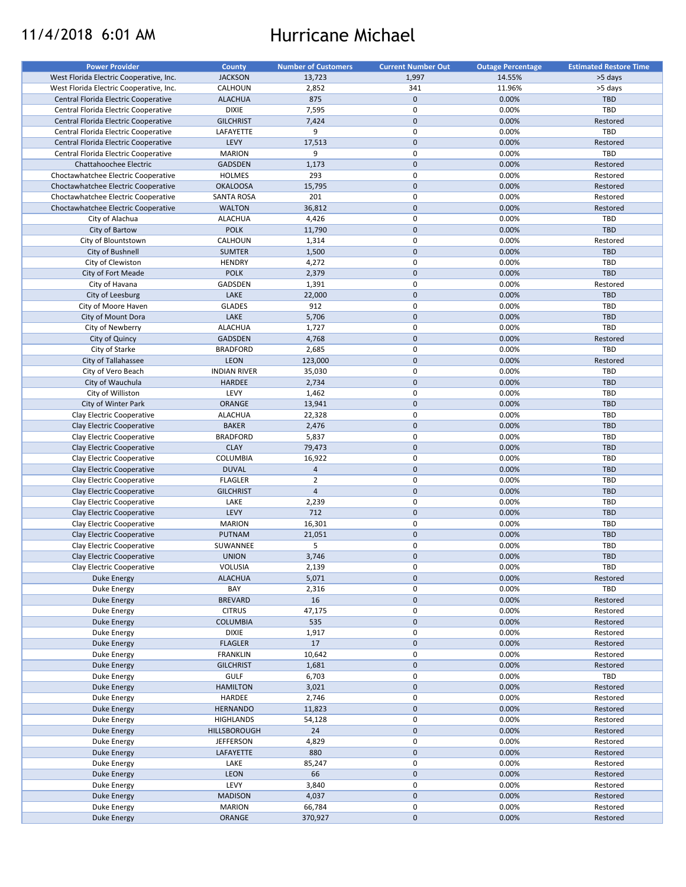# 11/4/2018 6:01 AM Hurricane Michael

| <b>Power Provider</b>                   | <b>County</b>       | <b>Number of Customers</b> | <b>Current Number Out</b> | <b>Outage Percentage</b> | <b>Estimated Restore Time</b> |
|-----------------------------------------|---------------------|----------------------------|---------------------------|--------------------------|-------------------------------|
| West Florida Electric Cooperative, Inc. | <b>JACKSON</b>      | 13,723                     | 1,997                     | 14.55%                   | >5 days                       |
| West Florida Electric Cooperative, Inc. | CALHOUN             | 2,852                      | 341                       | 11.96%                   | >5 days                       |
| Central Florida Electric Cooperative    | <b>ALACHUA</b>      | 875                        | $\mathbf 0$               | 0.00%                    | TBD                           |
|                                         | <b>DIXIE</b>        | 7,595                      | $\mathsf 0$               | 0.00%                    | TBD                           |
| Central Florida Electric Cooperative    |                     |                            |                           |                          |                               |
| Central Florida Electric Cooperative    | <b>GILCHRIST</b>    | 7,424                      | $\mathsf{O}\xspace$       | 0.00%                    | Restored                      |
| Central Florida Electric Cooperative    | LAFAYETTE           | 9                          | $\mathsf 0$               | 0.00%                    | TBD                           |
| Central Florida Electric Cooperative    | LEVY                | 17,513                     | $\mathbf 0$               | 0.00%                    | Restored                      |
| Central Florida Electric Cooperative    | <b>MARION</b>       | 9                          | $\mathsf 0$               | 0.00%                    | TBD                           |
| Chattahoochee Electric                  | <b>GADSDEN</b>      | 1,173                      | $\mathsf{O}\xspace$       | 0.00%                    | Restored                      |
| Choctawhatchee Electric Cooperative     | <b>HOLMES</b>       | 293                        | 0                         | 0.00%                    | Restored                      |
| Choctawhatchee Electric Cooperative     | <b>OKALOOSA</b>     | 15,795                     | $\mathbf 0$               | 0.00%                    | Restored                      |
| Choctawhatchee Electric Cooperative     | <b>SANTA ROSA</b>   | 201                        | $\mathsf 0$               | 0.00%                    | Restored                      |
| Choctawhatchee Electric Cooperative     | <b>WALTON</b>       | 36,812                     | $\mathsf{O}\xspace$       | 0.00%                    | Restored                      |
|                                         |                     |                            |                           |                          |                               |
| City of Alachua                         | <b>ALACHUA</b>      | 4,426                      | $\mathsf 0$               | 0.00%                    | TBD                           |
| City of Bartow                          | <b>POLK</b>         | 11,790                     | $\mathsf{O}\xspace$       | 0.00%                    | <b>TBD</b>                    |
| City of Blountstown                     | CALHOUN             | 1,314                      | $\mathsf 0$               | 0.00%                    | Restored                      |
| City of Bushnell                        | <b>SUMTER</b>       | 1,500                      | $\mathbf 0$               | 0.00%                    | <b>TBD</b>                    |
| City of Clewiston                       | <b>HENDRY</b>       | 4,272                      | $\mathsf 0$               | 0.00%                    | TBD                           |
| City of Fort Meade                      | <b>POLK</b>         | 2,379                      | $\pmb{0}$                 | 0.00%                    | <b>TBD</b>                    |
| City of Havana                          | GADSDEN             | 1,391                      | 0                         | 0.00%                    | Restored                      |
| City of Leesburg                        | LAKE                | 22,000                     | $\mathbf 0$               | 0.00%                    | <b>TBD</b>                    |
| City of Moore Haven                     | <b>GLADES</b>       | 912                        | $\pmb{0}$                 | 0.00%                    | <b>TBD</b>                    |
|                                         |                     |                            | $\mathsf{O}\xspace$       |                          |                               |
| City of Mount Dora                      | LAKE                | 5,706                      |                           | 0.00%                    | TBD                           |
| City of Newberry                        | <b>ALACHUA</b>      | 1,727                      | $\mathsf 0$               | 0.00%                    | TBD                           |
| City of Quincy                          | <b>GADSDEN</b>      | 4,768                      | $\mathbf 0$               | 0.00%                    | Restored                      |
| City of Starke                          | <b>BRADFORD</b>     | 2,685                      | $\pmb{0}$                 | 0.00%                    | TBD                           |
| City of Tallahassee                     | <b>LEON</b>         | 123,000                    | $\mathbf 0$               | 0.00%                    | Restored                      |
| City of Vero Beach                      | <b>INDIAN RIVER</b> | 35,030                     | $\mathsf 0$               | 0.00%                    | <b>TBD</b>                    |
| City of Wauchula                        | HARDEE              | 2,734                      | $\mathbf 0$               | 0.00%                    | <b>TBD</b>                    |
| City of Williston                       | LEVY                | 1,462                      | $\mathsf 0$               | 0.00%                    | TBD                           |
| City of Winter Park                     | ORANGE              | 13,941                     | $\mathsf{O}\xspace$       | 0.00%                    | <b>TBD</b>                    |
|                                         |                     |                            |                           |                          |                               |
| Clay Electric Cooperative               | <b>ALACHUA</b>      | 22,328                     | $\mathsf 0$               | 0.00%                    | TBD                           |
| Clay Electric Cooperative               | <b>BAKER</b>        | 2,476                      | $\mathbf 0$               | 0.00%                    | <b>TBD</b>                    |
| Clay Electric Cooperative               | <b>BRADFORD</b>     | 5,837                      | $\mathsf 0$               | 0.00%                    | <b>TBD</b>                    |
| Clay Electric Cooperative               | <b>CLAY</b>         | 79,473                     | $\mathbf 0$               | 0.00%                    | <b>TBD</b>                    |
| Clay Electric Cooperative               | COLUMBIA            | 16,922                     | 0                         | 0.00%                    | TBD                           |
| Clay Electric Cooperative               | <b>DUVAL</b>        | $\overline{4}$             | $\mathbf 0$               | 0.00%                    | <b>TBD</b>                    |
| Clay Electric Cooperative               | <b>FLAGLER</b>      | $\overline{2}$             | $\pmb{0}$                 | 0.00%                    | TBD                           |
| Clay Electric Cooperative               | <b>GILCHRIST</b>    | $\overline{4}$             | $\mathsf{O}\xspace$       | 0.00%                    | <b>TBD</b>                    |
| Clay Electric Cooperative               | LAKE                | 2,239                      | $\mathsf 0$               | 0.00%                    | TBD                           |
|                                         |                     |                            |                           |                          |                               |
| Clay Electric Cooperative               | LEVY                | 712                        | $\mathbf 0$               | 0.00%                    | <b>TBD</b>                    |
| Clay Electric Cooperative               | <b>MARION</b>       | 16,301                     | 0                         | 0.00%                    | <b>TBD</b>                    |
| <b>Clay Electric Cooperative</b>        | <b>PUTNAM</b>       | 21,051                     | $\mathsf{O}\xspace$       | 0.00%                    | <b>TBD</b>                    |
| Clay Electric Cooperative               | SUWANNEE            | 5                          | 0                         | 0.00%                    | <b>TBD</b>                    |
| <b>Clay Electric Cooperative</b>        | <b>UNION</b>        | 3,746                      | $\pmb{0}$                 | 0.00%                    | <b>TBD</b>                    |
| Clay Electric Cooperative               | VOLUSIA             | 2,139                      | 0                         | 0.00%                    | TBD                           |
| <b>Duke Energy</b>                      | <b>ALACHUA</b>      | 5,071                      | $\pmb{0}$                 | 0.00%                    | Restored                      |
| Duke Energy                             | BAY                 | 2,316                      | 0                         | 0.00%                    | TBD                           |
| <b>Duke Energy</b>                      | <b>BREVARD</b>      | 16                         | $\pmb{0}$                 | 0.00%                    | Restored                      |
| Duke Energy                             | <b>CITRUS</b>       | 47,175                     | $\pmb{0}$                 | 0.00%                    | Restored                      |
|                                         |                     |                            |                           |                          |                               |
| <b>Duke Energy</b>                      | <b>COLUMBIA</b>     | 535                        | $\pmb{0}$                 | 0.00%                    | Restored                      |
| Duke Energy                             | <b>DIXIE</b>        | 1,917                      | $\mathsf 0$               | 0.00%                    | Restored                      |
| Duke Energy                             | <b>FLAGLER</b>      | 17                         | $\pmb{0}$                 | 0.00%                    | Restored                      |
| <b>Duke Energy</b>                      | FRANKLIN            | 10,642                     | $\pmb{0}$                 | 0.00%                    | Restored                      |
| <b>Duke Energy</b>                      | <b>GILCHRIST</b>    | 1,681                      | $\pmb{0}$                 | 0.00%                    | Restored                      |
| Duke Energy                             | <b>GULF</b>         | 6,703                      | 0                         | 0.00%                    | TBD                           |
| <b>Duke Energy</b>                      | <b>HAMILTON</b>     | 3,021                      | $\pmb{0}$                 | 0.00%                    | Restored                      |
| Duke Energy                             | HARDEE              | 2,746                      | $\mathsf 0$               | 0.00%                    | Restored                      |
|                                         |                     |                            | $\pmb{0}$                 | 0.00%                    |                               |
| Duke Energy                             | <b>HERNANDO</b>     | 11,823                     |                           |                          | Restored                      |
| Duke Energy                             | <b>HIGHLANDS</b>    | 54,128                     | $\pmb{0}$                 | 0.00%                    | Restored                      |
| Duke Energy                             | HILLSBOROUGH        | 24                         | $\pmb{0}$                 | 0.00%                    | Restored                      |
| <b>Duke Energy</b>                      | <b>JEFFERSON</b>    | 4,829                      | $\mathsf 0$               | 0.00%                    | Restored                      |
| <b>Duke Energy</b>                      | LAFAYETTE           | 880                        | $\pmb{0}$                 | 0.00%                    | Restored                      |
| Duke Energy                             | LAKE                | 85,247                     | $\pmb{0}$                 | 0.00%                    | Restored                      |
| Duke Energy                             | <b>LEON</b>         | 66                         | $\pmb{0}$                 | 0.00%                    | Restored                      |
| Duke Energy                             | LEVY                | 3,840                      | $\mathsf 0$               | 0.00%                    | Restored                      |
| <b>Duke Energy</b>                      | <b>MADISON</b>      | 4,037                      | $\pmb{0}$                 | 0.00%                    | Restored                      |
|                                         |                     |                            |                           |                          |                               |
| <b>Duke Energy</b>                      | <b>MARION</b>       | 66,784                     | 0                         | 0.00%                    | Restored                      |
| Duke Energy                             | ORANGE              | 370,927                    | $\pmb{0}$                 | 0.00%                    | Restored                      |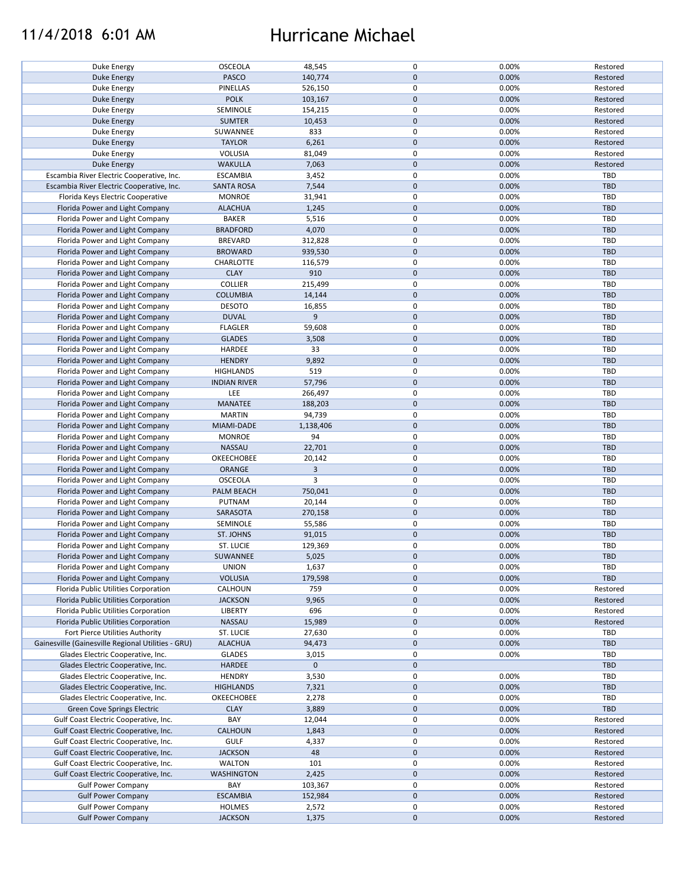## 11/4/2018 6:01 AM Hurricane Michael

| Duke Energy                                        | <b>OSCEOLA</b>      | 48,545      | 0                   | 0.00% | Restored   |
|----------------------------------------------------|---------------------|-------------|---------------------|-------|------------|
| Duke Energy                                        | <b>PASCO</b>        | 140,774     | $\mathbf{0}$        | 0.00% | Restored   |
| Duke Energy                                        | PINELLAS            | 526,150     | 0                   | 0.00% | Restored   |
| Duke Energy                                        | <b>POLK</b>         | 103,167     | $\mathsf{O}\xspace$ | 0.00% | Restored   |
| Duke Energy                                        | SEMINOLE            | 154,215     | 0                   | 0.00% | Restored   |
|                                                    |                     |             |                     |       |            |
| <b>Duke Energy</b>                                 | <b>SUMTER</b>       | 10,453      | $\mathsf{O}\xspace$ | 0.00% | Restored   |
| Duke Energy                                        | SUWANNEE            | 833         | 0                   | 0.00% | Restored   |
| Duke Energy                                        | <b>TAYLOR</b>       | 6,261       | $\mathbf 0$         | 0.00% | Restored   |
| Duke Energy                                        | VOLUSIA             | 81,049      | 0                   | 0.00% | Restored   |
| <b>Duke Energy</b>                                 | <b>WAKULLA</b>      | 7,063       | $\pmb{0}$           | 0.00% | Restored   |
|                                                    |                     |             |                     |       |            |
| Escambia River Electric Cooperative, Inc.          | <b>ESCAMBIA</b>     | 3,452       | 0                   | 0.00% | TBD        |
| Escambia River Electric Cooperative, Inc.          | <b>SANTA ROSA</b>   | 7,544       | $\mathbf 0$         | 0.00% | TBD        |
| Florida Keys Electric Cooperative                  | <b>MONROE</b>       | 31,941      | 0                   | 0.00% | <b>TBD</b> |
| Florida Power and Light Company                    | <b>ALACHUA</b>      | 1,245       | $\mathsf{O}\xspace$ | 0.00% | <b>TBD</b> |
|                                                    |                     |             | 0                   |       |            |
| Florida Power and Light Company                    | <b>BAKER</b>        | 5,516       |                     | 0.00% | TBD        |
| Florida Power and Light Company                    | <b>BRADFORD</b>     | 4,070       | $\mathbf 0$         | 0.00% | <b>TBD</b> |
| Florida Power and Light Company                    | <b>BREVARD</b>      | 312,828     | 0                   | 0.00% | <b>TBD</b> |
| Florida Power and Light Company                    | <b>BROWARD</b>      | 939,530     | $\mathsf{O}\xspace$ | 0.00% | <b>TBD</b> |
| Florida Power and Light Company                    | CHARLOTTE           | 116,579     | 0                   | 0.00% | <b>TBD</b> |
| Florida Power and Light Company                    | <b>CLAY</b>         | 910         | $\mathbf 0$         | 0.00% | <b>TBD</b> |
|                                                    |                     |             |                     |       |            |
| Florida Power and Light Company                    | <b>COLLIER</b>      | 215,499     | 0                   | 0.00% | <b>TBD</b> |
| Florida Power and Light Company                    | <b>COLUMBIA</b>     | 14,144      | $\mathsf{O}\xspace$ | 0.00% | <b>TBD</b> |
| Florida Power and Light Company                    | <b>DESOTO</b>       | 16,855      | 0                   | 0.00% | <b>TBD</b> |
| Florida Power and Light Company                    | <b>DUVAL</b>        | 9           | $\mathbf 0$         | 0.00% | <b>TBD</b> |
|                                                    |                     |             | 0                   |       |            |
| Florida Power and Light Company                    | <b>FLAGLER</b>      | 59,608      |                     | 0.00% | TBD        |
| Florida Power and Light Company                    | <b>GLADES</b>       | 3,508       | $\mathsf{O}\xspace$ | 0.00% | <b>TBD</b> |
| Florida Power and Light Company                    | HARDEE              | 33          | 0                   | 0.00% | TBD        |
| Florida Power and Light Company                    | <b>HENDRY</b>       | 9,892       | $\mathsf{O}\xspace$ | 0.00% | <b>TBD</b> |
| Florida Power and Light Company                    | <b>HIGHLANDS</b>    | 519         | 0                   | 0.00% | <b>TBD</b> |
|                                                    |                     |             |                     |       |            |
| Florida Power and Light Company                    | <b>INDIAN RIVER</b> | 57,796      | $\pmb{0}$           | 0.00% | <b>TBD</b> |
| Florida Power and Light Company                    | LEE                 | 266,497     | 0                   | 0.00% | TBD        |
| Florida Power and Light Company                    | <b>MANATEE</b>      | 188,203     | $\mathsf{O}\xspace$ | 0.00% | <b>TBD</b> |
| Florida Power and Light Company                    | <b>MARTIN</b>       | 94,739      | 0                   | 0.00% | TBD        |
| Florida Power and Light Company                    | MIAMI-DADE          | 1,138,406   | $\mathsf{O}\xspace$ | 0.00% | <b>TBD</b> |
|                                                    |                     |             |                     |       |            |
| Florida Power and Light Company                    | <b>MONROE</b>       | 94          | 0                   | 0.00% | <b>TBD</b> |
| Florida Power and Light Company                    | NASSAU              | 22,701      | $\pmb{0}$           | 0.00% | <b>TBD</b> |
| Florida Power and Light Company                    | OKEECHOBEE          | 20,142      | $\mathsf 0$         | 0.00% | <b>TBD</b> |
| Florida Power and Light Company                    | ORANGE              | 3           | $\mathsf{O}\xspace$ | 0.00% | <b>TBD</b> |
| Florida Power and Light Company                    | <b>OSCEOLA</b>      | 3           | 0                   | 0.00% | TBD        |
|                                                    |                     |             |                     |       |            |
| Florida Power and Light Company                    | <b>PALM BEACH</b>   | 750,041     | $\mathsf{O}\xspace$ | 0.00% | <b>TBD</b> |
| Florida Power and Light Company                    | PUTNAM              | 20,144      | $\mathsf 0$         | 0.00% | TBD        |
| Florida Power and Light Company                    | SARASOTA            | 270,158     | $\mathsf{O}\xspace$ | 0.00% | <b>TBD</b> |
| Florida Power and Light Company                    | SEMINOLE            | 55,586      | 0                   | 0.00% | <b>TBD</b> |
| Florida Power and Light Company                    | ST. JOHNS           | 91,015      | $\pmb{0}$           | 0.00% | <b>TBD</b> |
|                                                    |                     |             |                     |       |            |
| Florida Power and Light Company                    | ST. LUCIE           | 129,369     | 0                   | 0.00% | <b>TBD</b> |
| Florida Power and Light Company                    | SUWANNEE            | 5,025       | $\mathbf{0}$        | 0.00% | <b>TBD</b> |
| Florida Power and Light Company                    | <b>UNION</b>        | 1,637       | 0                   | 0.00% | TBD        |
| Florida Power and Light Company                    | <b>VOLUSIA</b>      | 179,598     | 0                   | 0.00% | TBD        |
| Florida Public Utilities Corporation               | CALHOUN             | 759         | 0                   | 0.00% | Restored   |
|                                                    |                     |             |                     |       |            |
| Florida Public Utilities Corporation               | <b>JACKSON</b>      | 9,965       | $\mathsf{O}\xspace$ | 0.00% | Restored   |
| Florida Public Utilities Corporation               | LIBERTY             | 696         | 0                   | 0.00% | Restored   |
| Florida Public Utilities Corporation               | NASSAU              | 15,989      | 0                   | 0.00% | Restored   |
| Fort Pierce Utilities Authority                    | ST. LUCIE           | 27,630      | 0                   | 0.00% | TBD        |
| Gainesville (Gainesville Regional Utilities - GRU) | <b>ALACHUA</b>      | 94,473      | $\mathsf{O}\xspace$ | 0.00% | TBD        |
|                                                    |                     |             |                     |       |            |
| Glades Electric Cooperative, Inc.                  | <b>GLADES</b>       | 3,015       | 0                   | 0.00% | <b>TBD</b> |
| Glades Electric Cooperative, Inc.                  | HARDEE              | $\mathbf 0$ | $\pmb{0}$           |       | TBD        |
| Glades Electric Cooperative, Inc.                  | <b>HENDRY</b>       | 3,530       | 0                   | 0.00% | TBD        |
| Glades Electric Cooperative, Inc.                  | <b>HIGHLANDS</b>    | 7,321       | 0                   | 0.00% | <b>TBD</b> |
|                                                    |                     |             | 0                   |       |            |
| Glades Electric Cooperative, Inc.                  | OKEECHOBEE          | 2,278       |                     | 0.00% | <b>TBD</b> |
| Green Cove Springs Electric                        | <b>CLAY</b>         | 3,889       | $\pmb{0}$           | 0.00% | <b>TBD</b> |
| Gulf Coast Electric Cooperative, Inc.              | BAY                 | 12,044      | 0                   | 0.00% | Restored   |
| Gulf Coast Electric Cooperative, Inc.              | CALHOUN             | 1,843       | $\pmb{0}$           | 0.00% | Restored   |
| Gulf Coast Electric Cooperative, Inc.              | <b>GULF</b>         | 4,337       | 0                   | 0.00% | Restored   |
|                                                    |                     |             |                     |       |            |
| Gulf Coast Electric Cooperative, Inc.              | <b>JACKSON</b>      | 48          | 0                   | 0.00% | Restored   |
| Gulf Coast Electric Cooperative, Inc.              | <b>WALTON</b>       | 101         | 0                   | 0.00% | Restored   |
| Gulf Coast Electric Cooperative, Inc.              | <b>WASHINGTON</b>   | 2,425       | $\mathbf 0$         | 0.00% | Restored   |
| <b>Gulf Power Company</b>                          | BAY                 | 103,367     | 0                   | 0.00% | Restored   |
| <b>Gulf Power Company</b>                          | <b>ESCAMBIA</b>     | 152,984     | $\mathsf{O}\xspace$ | 0.00% | Restored   |
|                                                    |                     |             |                     |       |            |
| <b>Gulf Power Company</b>                          | <b>HOLMES</b>       | 2,572       | 0                   | 0.00% | Restored   |
| <b>Gulf Power Company</b>                          | <b>JACKSON</b>      | 1,375       | $\mathsf{O}\xspace$ | 0.00% | Restored   |